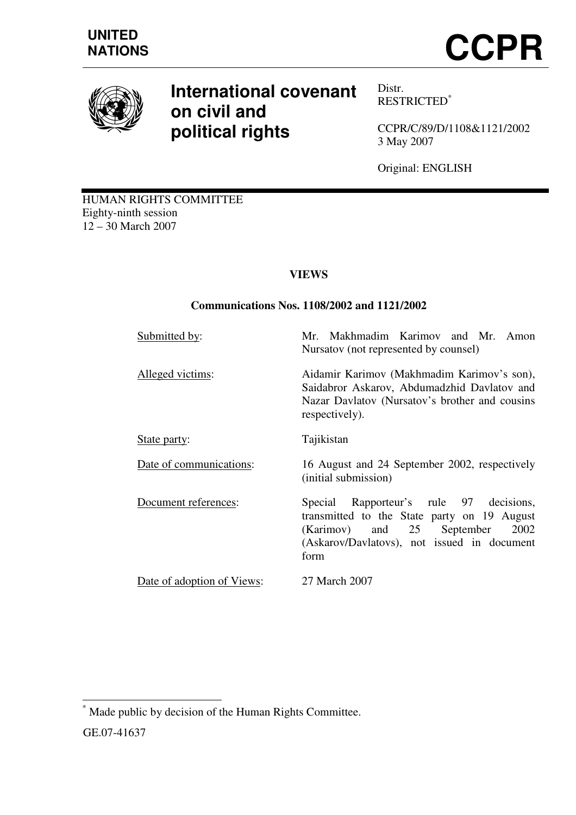

# **International covenant on civil and political rights**

Distr. RESTRICTED\*

CCPR/C/89/D/1108&1121/2002 3 May 2007

Original: ENGLISH

HUMAN RIGHTS COMMITTEE Eighty-ninth session 12 – 30 March 2007

# **VIEWS**

# **Communications Nos. 1108/2002 and 1121/2002**

| Submitted by:              | Makhmadim Karimov and Mr. Amon<br>Mr.<br>Nursatov (not represented by counsel)                                                                                                      |
|----------------------------|-------------------------------------------------------------------------------------------------------------------------------------------------------------------------------------|
| Alleged victims:           | Aidamir Karimov (Makhmadim Karimov's son),<br>Saidabror Askarov, Abdumadzhid Davlatov and<br>Nazar Davlatov (Nursatov's brother and cousins<br>respectively).                       |
| State party:               | Tajikistan                                                                                                                                                                          |
| Date of communications:    | 16 August and 24 September 2002, respectively<br>(initial submission)                                                                                                               |
| Document references:       | Special Rapporteur's rule 97 decisions,<br>transmitted to the State party on 19 August<br>(Karimov) and 25 September<br>2002<br>(Askarov/Davlatovs), not issued in document<br>form |
| Date of adoption of Views: | 27 March 2007                                                                                                                                                                       |

 $\overline{\phantom{a}}$ \* Made public by decision of the Human Rights Committee. GE.07-41637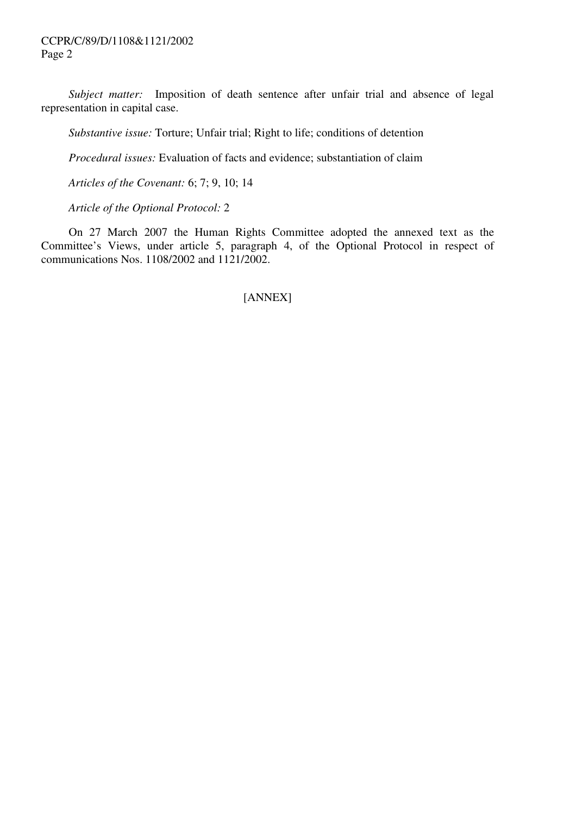*Subject matter:* Imposition of death sentence after unfair trial and absence of legal representation in capital case.

 *Substantive issue:* Torture; Unfair trial; Right to life; conditions of detention

 *Procedural issues:* Evaluation of facts and evidence; substantiation of claim

 *Articles of the Covenant:* 6; 7; 9, 10; 14

 *Article of the Optional Protocol:* 2

 On 27 March 2007 the Human Rights Committee adopted the annexed text as the Committee's Views, under article 5, paragraph 4, of the Optional Protocol in respect of communications Nos. 1108/2002 and 1121/2002.

[ANNEX]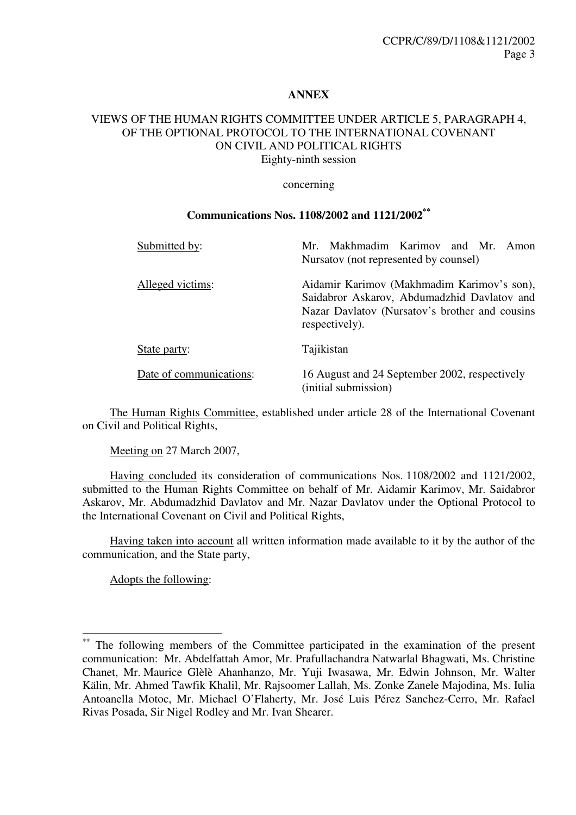#### **ANNEX**

# VIEWS OF THE HUMAN RIGHTS COMMITTEE UNDER ARTICLE 5, PARAGRAPH 4, OF THE OPTIONAL PROTOCOL TO THE INTERNATIONAL COVENANT ON CIVIL AND POLITICAL RIGHTS

Eighty-ninth session

#### concerning

#### **Communications Nos. 1108/2002 and 1121/2002\*\***

| Submitted by:           | Mr. Makhmadim Karimov and Mr. Amon<br>Nursatov (not represented by counsel)                                                                                   |
|-------------------------|---------------------------------------------------------------------------------------------------------------------------------------------------------------|
| Alleged victims:        | Aidamir Karimov (Makhmadim Karimov's son),<br>Saidabror Askarov, Abdumadzhid Davlatov and<br>Nazar Davlatov (Nursatov's brother and cousins<br>respectively). |
| State party:            | Tajikistan                                                                                                                                                    |
| Date of communications: | 16 August and 24 September 2002, respectively<br>(initial submission)                                                                                         |

 The Human Rights Committee, established under article 28 of the International Covenant on Civil and Political Rights,

Meeting on 27 March 2007,

 Having concluded its consideration of communications Nos. 1108/2002 and 1121/2002, submitted to the Human Rights Committee on behalf of Mr. Aidamir Karimov, Mr. Saidabror Askarov, Mr. Abdumadzhid Davlatov and Mr. Nazar Davlatov under the Optional Protocol to the International Covenant on Civil and Political Rights,

 Having taken into account all written information made available to it by the author of the communication, and the State party,

Adopts the following:

 $\overline{\phantom{a}}$ 

The following members of the Committee participated in the examination of the present communication: Mr. Abdelfattah Amor, Mr. Prafullachandra Natwarlal Bhagwati, Ms. Christine Chanet, Mr. Maurice Glèlè Ahanhanzo, Mr. Yuji Iwasawa, Mr. Edwin Johnson, Mr. Walter Kälin, Mr. Ahmed Tawfik Khalil, Mr. Rajsoomer Lallah, Ms. Zonke Zanele Majodina, Ms. Iulia Antoanella Motoc, Mr. Michael O'Flaherty, Mr. José Luis Pérez Sanchez-Cerro, Mr. Rafael Rivas Posada, Sir Nigel Rodley and Mr. Ivan Shearer.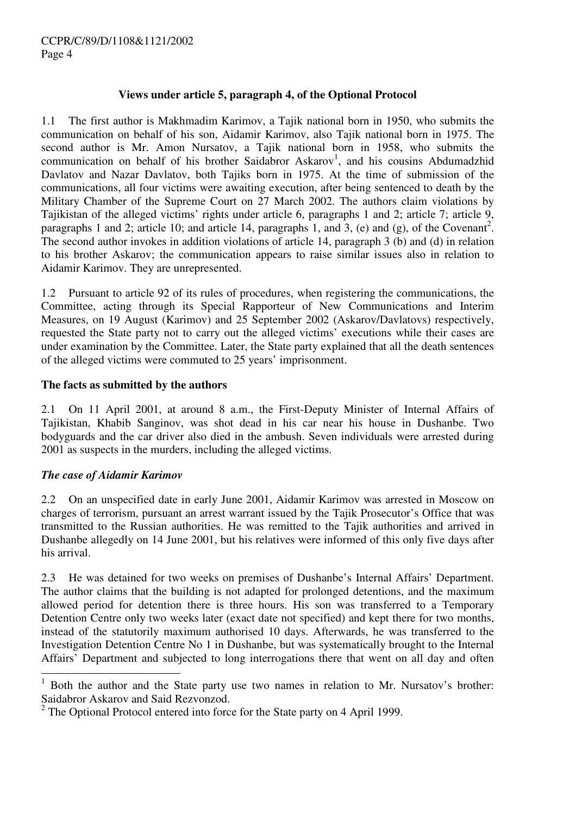## **Views under article 5, paragraph 4, of the Optional Protocol**

1.1 The first author is Makhmadim Karimov, a Tajik national born in 1950, who submits the communication on behalf of his son, Aidamir Karimov, also Tajik national born in 1975. The second author is Mr. Amon Nursatov, a Tajik national born in 1958, who submits the communication on behalf of his brother Saidabror Askarov<sup>1</sup>, and his cousins Abdumadzhid Davlatov and Nazar Davlatov, both Tajiks born in 1975. At the time of submission of the communications, all four victims were awaiting execution, after being sentenced to death by the Military Chamber of the Supreme Court on 27 March 2002. The authors claim violations by Tajikistan of the alleged victims' rights under article 6, paragraphs 1 and 2; article 7; article 9, paragraphs 1 and 2; article 10; and article 14, paragraphs 1, and 3, (e) and (g), of the Covenant<sup>2</sup>. The second author invokes in addition violations of article 14, paragraph 3 (b) and (d) in relation to his brother Askarov; the communication appears to raise similar issues also in relation to Aidamir Karimov. They are unrepresented.

1.2 Pursuant to article 92 of its rules of procedures, when registering the communications, the Committee, acting through its Special Rapporteur of New Communications and Interim Measures, on 19 August (Karimov) and 25 September 2002 (Askarov/Davlatovs) respectively, requested the State party not to carry out the alleged victims' executions while their cases are under examination by the Committee. Later, the State party explained that all the death sentences of the alleged victims were commuted to 25 years' imprisonment.

## **The facts as submitted by the authors**

2.1 On 11 April 2001, at around 8 a.m., the First-Deputy Minister of Internal Affairs of Tajikistan, Khabib Sanginov, was shot dead in his car near his house in Dushanbe. Two bodyguards and the car driver also died in the ambush. Seven individuals were arrested during 2001 as suspects in the murders, including the alleged victims.

# *The case of Aidamir Karimov*

 $\overline{a}$ 

2.2 On an unspecified date in early June 2001, Aidamir Karimov was arrested in Moscow on charges of terrorism, pursuant an arrest warrant issued by the Tajik Prosecutor's Office that was transmitted to the Russian authorities. He was remitted to the Tajik authorities and arrived in Dushanbe allegedly on 14 June 2001, but his relatives were informed of this only five days after his arrival.

2.3 He was detained for two weeks on premises of Dushanbe's Internal Affairs' Department. The author claims that the building is not adapted for prolonged detentions, and the maximum allowed period for detention there is three hours. His son was transferred to a Temporary Detention Centre only two weeks later (exact date not specified) and kept there for two months, instead of the statutorily maximum authorised 10 days. Afterwards, he was transferred to the Investigation Detention Centre No 1 in Dushanbe, but was systematically brought to the Internal Affairs' Department and subjected to long interrogations there that went on all day and often

<sup>1</sup> Both the author and the State party use two names in relation to Mr. Nursatov's brother: Saidabror Askarov and Said Rezvonzod.

 $2^2$  The Optional Protocol entered into force for the State party on 4 April 1999.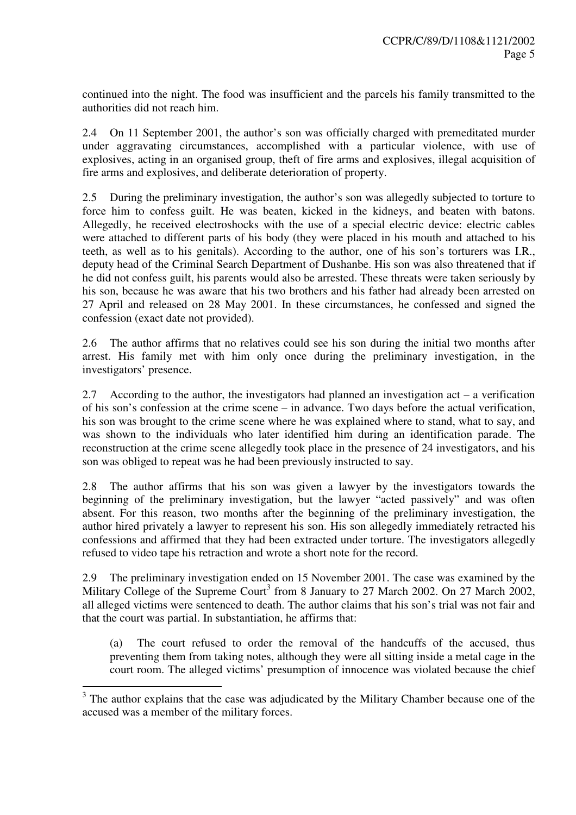continued into the night. The food was insufficient and the parcels his family transmitted to the authorities did not reach him.

2.4 On 11 September 2001, the author's son was officially charged with premeditated murder under aggravating circumstances, accomplished with a particular violence, with use of explosives, acting in an organised group, theft of fire arms and explosives, illegal acquisition of fire arms and explosives, and deliberate deterioration of property.

2.5 During the preliminary investigation, the author's son was allegedly subjected to torture to force him to confess guilt. He was beaten, kicked in the kidneys, and beaten with batons. Allegedly, he received electroshocks with the use of a special electric device: electric cables were attached to different parts of his body (they were placed in his mouth and attached to his teeth, as well as to his genitals). According to the author, one of his son's torturers was I.R., deputy head of the Criminal Search Department of Dushanbe. His son was also threatened that if he did not confess guilt, his parents would also be arrested. These threats were taken seriously by his son, because he was aware that his two brothers and his father had already been arrested on 27 April and released on 28 May 2001. In these circumstances, he confessed and signed the confession (exact date not provided).

2.6 The author affirms that no relatives could see his son during the initial two months after arrest. His family met with him only once during the preliminary investigation, in the investigators' presence.

2.7 According to the author, the investigators had planned an investigation act – a verification of his son's confession at the crime scene – in advance. Two days before the actual verification, his son was brought to the crime scene where he was explained where to stand, what to say, and was shown to the individuals who later identified him during an identification parade. The reconstruction at the crime scene allegedly took place in the presence of 24 investigators, and his son was obliged to repeat was he had been previously instructed to say.

2.8 The author affirms that his son was given a lawyer by the investigators towards the beginning of the preliminary investigation, but the lawyer "acted passively" and was often absent. For this reason, two months after the beginning of the preliminary investigation, the author hired privately a lawyer to represent his son. His son allegedly immediately retracted his confessions and affirmed that they had been extracted under torture. The investigators allegedly refused to video tape his retraction and wrote a short note for the record.

2.9 The preliminary investigation ended on 15 November 2001. The case was examined by the Military College of the Supreme Court<sup>3</sup> from 8 January to 27 March 2002. On 27 March 2002, all alleged victims were sentenced to death. The author claims that his son's trial was not fair and that the court was partial. In substantiation, he affirms that:

(a) The court refused to order the removal of the handcuffs of the accused, thus preventing them from taking notes, although they were all sitting inside a metal cage in the court room. The alleged victims' presumption of innocence was violated because the chief

<sup>&</sup>lt;sup>3</sup> The author explains that the case was adjudicated by the Military Chamber because one of the accused was a member of the military forces.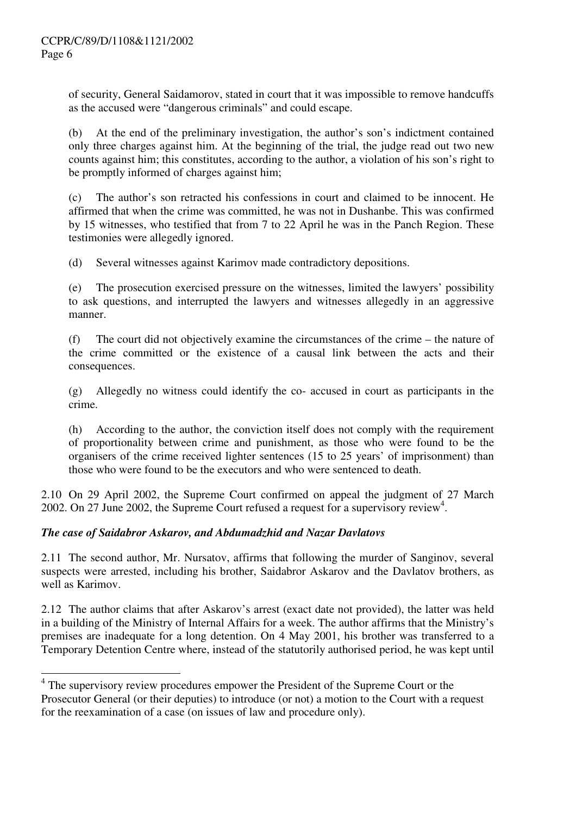of security, General Saidamorov, stated in court that it was impossible to remove handcuffs as the accused were "dangerous criminals" and could escape.

(b) At the end of the preliminary investigation, the author's son's indictment contained only three charges against him. At the beginning of the trial, the judge read out two new counts against him; this constitutes, according to the author, a violation of his son's right to be promptly informed of charges against him;

(c) The author's son retracted his confessions in court and claimed to be innocent. He affirmed that when the crime was committed, he was not in Dushanbe. This was confirmed by 15 witnesses, who testified that from 7 to 22 April he was in the Panch Region. These testimonies were allegedly ignored.

(d) Several witnesses against Karimov made contradictory depositions.

(e) The prosecution exercised pressure on the witnesses, limited the lawyers' possibility to ask questions, and interrupted the lawyers and witnesses allegedly in an aggressive manner.

(f) The court did not objectively examine the circumstances of the crime – the nature of the crime committed or the existence of a causal link between the acts and their consequences.

(g) Allegedly no witness could identify the co- accused in court as participants in the crime.

(h) According to the author, the conviction itself does not comply with the requirement of proportionality between crime and punishment, as those who were found to be the organisers of the crime received lighter sentences (15 to 25 years' of imprisonment) than those who were found to be the executors and who were sentenced to death.

2.10 On 29 April 2002, the Supreme Court confirmed on appeal the judgment of 27 March 2002. On 27 June 2002, the Supreme Court refused a request for a supervisory review<sup>4</sup>.

# *The case of Saidabror Askarov, and Abdumadzhid and Nazar Davlatovs*

2.11 The second author, Mr. Nursatov, affirms that following the murder of Sanginov, several suspects were arrested, including his brother, Saidabror Askarov and the Davlatov brothers, as well as Karimov.

2.12 The author claims that after Askarov's arrest (exact date not provided), the latter was held in a building of the Ministry of Internal Affairs for a week. The author affirms that the Ministry's premises are inadequate for a long detention. On 4 May 2001, his brother was transferred to a Temporary Detention Centre where, instead of the statutorily authorised period, he was kept until

<sup>&</sup>lt;sup>4</sup> The supervisory review procedures empower the President of the Supreme Court or the Prosecutor General (or their deputies) to introduce (or not) a motion to the Court with a request for the reexamination of a case (on issues of law and procedure only).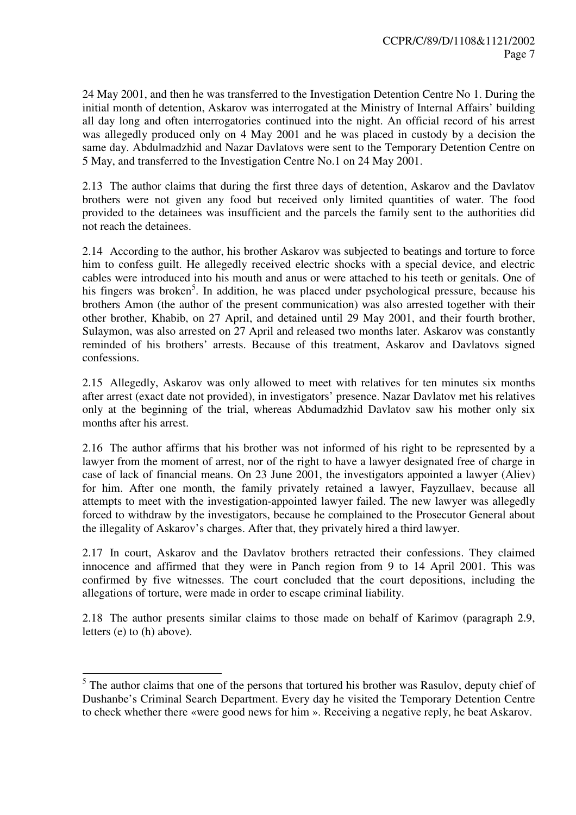24 May 2001, and then he was transferred to the Investigation Detention Centre No 1. During the initial month of detention, Askarov was interrogated at the Ministry of Internal Affairs' building all day long and often interrogatories continued into the night. An official record of his arrest was allegedly produced only on 4 May 2001 and he was placed in custody by a decision the same day. Abdulmadzhid and Nazar Davlatovs were sent to the Temporary Detention Centre on 5 May, and transferred to the Investigation Centre No.1 on 24 May 2001.

2.13 The author claims that during the first three days of detention, Askarov and the Davlatov brothers were not given any food but received only limited quantities of water. The food provided to the detainees was insufficient and the parcels the family sent to the authorities did not reach the detainees.

2.14 According to the author, his brother Askarov was subjected to beatings and torture to force him to confess guilt. He allegedly received electric shocks with a special device, and electric cables were introduced into his mouth and anus or were attached to his teeth or genitals. One of his fingers was broken<sup>5</sup>. In addition, he was placed under psychological pressure, because his brothers Amon (the author of the present communication) was also arrested together with their other brother, Khabib, on 27 April, and detained until 29 May 2001, and their fourth brother, Sulaymon, was also arrested on 27 April and released two months later. Askarov was constantly reminded of his brothers' arrests. Because of this treatment, Askarov and Davlatovs signed confessions.

2.15 Allegedly, Askarov was only allowed to meet with relatives for ten minutes six months after arrest (exact date not provided), in investigators' presence. Nazar Davlatov met his relatives only at the beginning of the trial, whereas Abdumadzhid Davlatov saw his mother only six months after his arrest.

2.16 The author affirms that his brother was not informed of his right to be represented by a lawyer from the moment of arrest, nor of the right to have a lawyer designated free of charge in case of lack of financial means. On 23 June 2001, the investigators appointed a lawyer (Aliev) for him. After one month, the family privately retained a lawyer, Fayzullaev, because all attempts to meet with the investigation-appointed lawyer failed. The new lawyer was allegedly forced to withdraw by the investigators, because he complained to the Prosecutor General about the illegality of Askarov's charges. After that, they privately hired a third lawyer.

2.17 In court, Askarov and the Davlatov brothers retracted their confessions. They claimed innocence and affirmed that they were in Panch region from 9 to 14 April 2001. This was confirmed by five witnesses. The court concluded that the court depositions, including the allegations of torture, were made in order to escape criminal liability.

2.18 The author presents similar claims to those made on behalf of Karimov (paragraph 2.9, letters (e) to (h) above).

<sup>&</sup>lt;sup>5</sup>The author claims that one of the persons that tortured his brother was Rasulov, deputy chief of Dushanbe's Criminal Search Department. Every day he visited the Temporary Detention Centre to check whether there «were good news for him ». Receiving a negative reply, he beat Askarov.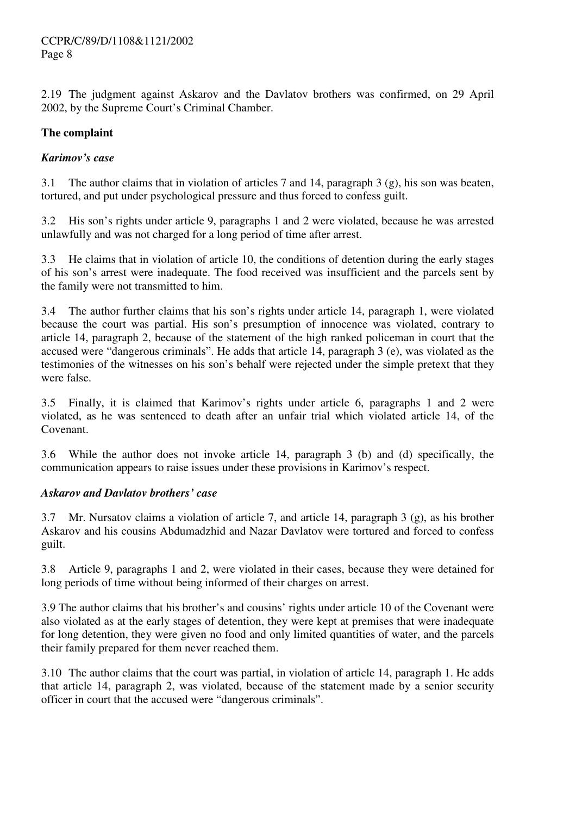2.19 The judgment against Askarov and the Davlatov brothers was confirmed, on 29 April 2002, by the Supreme Court's Criminal Chamber.

# **The complaint**

# *Karimov's case*

3.1 The author claims that in violation of articles 7 and 14, paragraph 3 (g), his son was beaten, tortured, and put under psychological pressure and thus forced to confess guilt.

3.2 His son's rights under article 9, paragraphs 1 and 2 were violated, because he was arrested unlawfully and was not charged for a long period of time after arrest.

3.3 He claims that in violation of article 10, the conditions of detention during the early stages of his son's arrest were inadequate. The food received was insufficient and the parcels sent by the family were not transmitted to him.

3.4 The author further claims that his son's rights under article 14, paragraph 1, were violated because the court was partial. His son's presumption of innocence was violated, contrary to article 14, paragraph 2, because of the statement of the high ranked policeman in court that the accused were "dangerous criminals". He adds that article 14, paragraph 3 (e), was violated as the testimonies of the witnesses on his son's behalf were rejected under the simple pretext that they were false.

3.5 Finally, it is claimed that Karimov's rights under article 6, paragraphs 1 and 2 were violated, as he was sentenced to death after an unfair trial which violated article 14, of the Covenant.

3.6 While the author does not invoke article 14, paragraph 3 (b) and (d) specifically, the communication appears to raise issues under these provisions in Karimov's respect.

# *Askarov and Davlatov brothers' case*

3.7 Mr. Nursatov claims a violation of article 7, and article 14, paragraph 3 (g), as his brother Askarov and his cousins Abdumadzhid and Nazar Davlatov were tortured and forced to confess guilt.

3.8 Article 9, paragraphs 1 and 2, were violated in their cases, because they were detained for long periods of time without being informed of their charges on arrest.

3.9 The author claims that his brother's and cousins' rights under article 10 of the Covenant were also violated as at the early stages of detention, they were kept at premises that were inadequate for long detention, they were given no food and only limited quantities of water, and the parcels their family prepared for them never reached them.

3.10 The author claims that the court was partial, in violation of article 14, paragraph 1. He adds that article 14, paragraph 2, was violated, because of the statement made by a senior security officer in court that the accused were "dangerous criminals".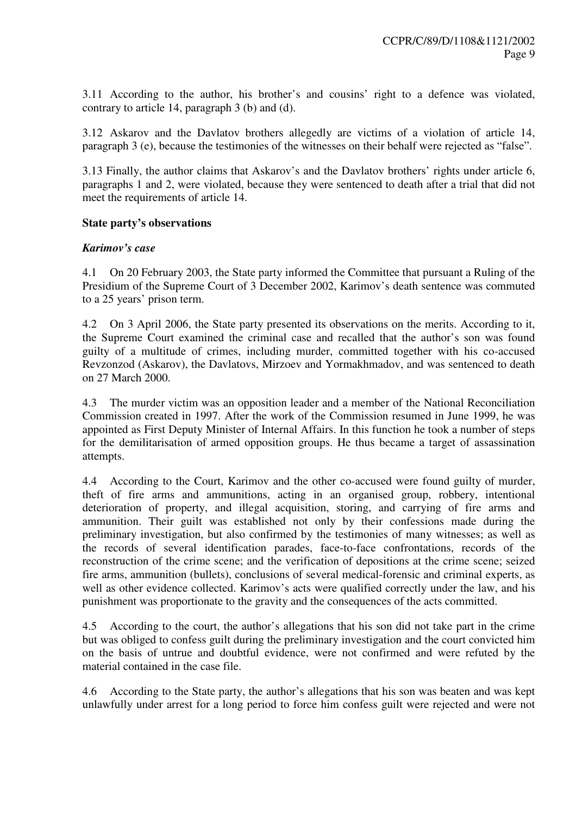3.11 According to the author, his brother's and cousins' right to a defence was violated, contrary to article 14, paragraph 3 (b) and (d).

3.12 Askarov and the Davlatov brothers allegedly are victims of a violation of article 14, paragraph 3 (e), because the testimonies of the witnesses on their behalf were rejected as "false".

3.13 Finally, the author claims that Askarov's and the Davlatov brothers' rights under article 6, paragraphs 1 and 2, were violated, because they were sentenced to death after a trial that did not meet the requirements of article 14.

## **State party's observations**

## *Karimov's case*

4.1 On 20 February 2003, the State party informed the Committee that pursuant a Ruling of the Presidium of the Supreme Court of 3 December 2002, Karimov's death sentence was commuted to a 25 years' prison term.

4.2 On 3 April 2006, the State party presented its observations on the merits. According to it, the Supreme Court examined the criminal case and recalled that the author's son was found guilty of a multitude of crimes, including murder, committed together with his co-accused Revzonzod (Askarov), the Davlatovs, Mirzoev and Yormakhmadov, and was sentenced to death on 27 March 2000.

4.3 The murder victim was an opposition leader and a member of the National Reconciliation Commission created in 1997. After the work of the Commission resumed in June 1999, he was appointed as First Deputy Minister of Internal Affairs. In this function he took a number of steps for the demilitarisation of armed opposition groups. He thus became a target of assassination attempts.

4.4 According to the Court, Karimov and the other co-accused were found guilty of murder, theft of fire arms and ammunitions, acting in an organised group, robbery, intentional deterioration of property, and illegal acquisition, storing, and carrying of fire arms and ammunition. Their guilt was established not only by their confessions made during the preliminary investigation, but also confirmed by the testimonies of many witnesses; as well as the records of several identification parades, face-to-face confrontations, records of the reconstruction of the crime scene; and the verification of depositions at the crime scene; seized fire arms, ammunition (bullets), conclusions of several medical-forensic and criminal experts, as well as other evidence collected. Karimov's acts were qualified correctly under the law, and his punishment was proportionate to the gravity and the consequences of the acts committed.

4.5 According to the court, the author's allegations that his son did not take part in the crime but was obliged to confess guilt during the preliminary investigation and the court convicted him on the basis of untrue and doubtful evidence, were not confirmed and were refuted by the material contained in the case file.

4.6 According to the State party, the author's allegations that his son was beaten and was kept unlawfully under arrest for a long period to force him confess guilt were rejected and were not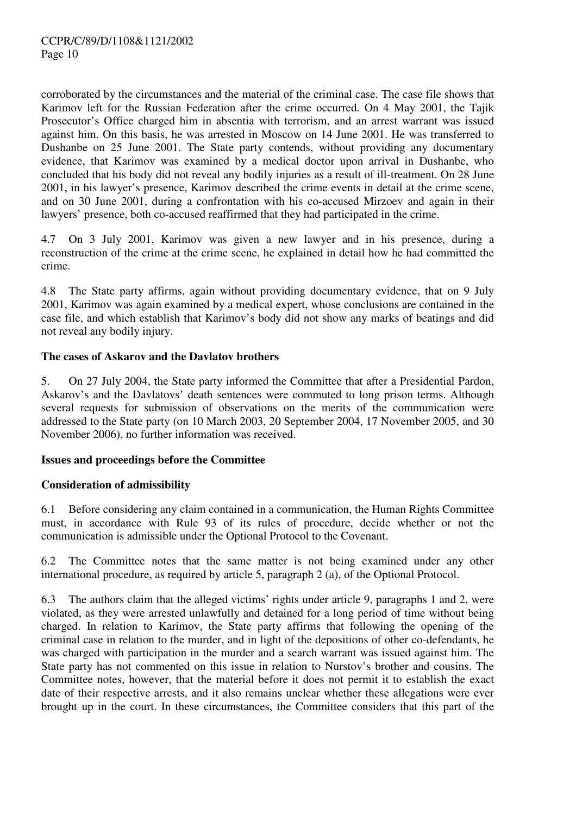corroborated by the circumstances and the material of the criminal case. The case file shows that Karimov left for the Russian Federation after the crime occurred. On 4 May 2001, the Tajik Prosecutor's Office charged him in absentia with terrorism, and an arrest warrant was issued against him. On this basis, he was arrested in Moscow on 14 June 2001. He was transferred to Dushanbe on 25 June 2001. The State party contends, without providing any documentary evidence, that Karimov was examined by a medical doctor upon arrival in Dushanbe, who concluded that his body did not reveal any bodily injuries as a result of ill-treatment. On 28 June 2001, in his lawyer's presence, Karimov described the crime events in detail at the crime scene, and on 30 June 2001, during a confrontation with his co-accused Mirzoev and again in their lawyers' presence, both co-accused reaffirmed that they had participated in the crime.

4.7 On 3 July 2001, Karimov was given a new lawyer and in his presence, during a reconstruction of the crime at the crime scene, he explained in detail how he had committed the crime.

4.8 The State party affirms, again without providing documentary evidence, that on 9 July 2001, Karimov was again examined by a medical expert, whose conclusions are contained in the case file, and which establish that Karimov's body did not show any marks of beatings and did not reveal any bodily injury.

#### **The cases of Askarov and the Davlatov brothers**

5. On 27 July 2004, the State party informed the Committee that after a Presidential Pardon, Askarov's and the Davlatovs' death sentences were commuted to long prison terms. Although several requests for submission of observations on the merits of the communication were addressed to the State party (on 10 March 2003, 20 September 2004, 17 November 2005, and 30 November 2006), no further information was received.

#### **Issues and proceedings before the Committee**

# **Consideration of admissibility**

6.1 Before considering any claim contained in a communication, the Human Rights Committee must, in accordance with Rule 93 of its rules of procedure, decide whether or not the communication is admissible under the Optional Protocol to the Covenant.

6.2 The Committee notes that the same matter is not being examined under any other international procedure, as required by article 5, paragraph 2 (a), of the Optional Protocol.

6.3 The authors claim that the alleged victims' rights under article 9, paragraphs 1 and 2, were violated, as they were arrested unlawfully and detained for a long period of time without being charged. In relation to Karimov, the State party affirms that following the opening of the criminal case in relation to the murder, and in light of the depositions of other co-defendants, he was charged with participation in the murder and a search warrant was issued against him. The State party has not commented on this issue in relation to Nurstov's brother and cousins. The Committee notes, however, that the material before it does not permit it to establish the exact date of their respective arrests, and it also remains unclear whether these allegations were ever brought up in the court. In these circumstances, the Committee considers that this part of the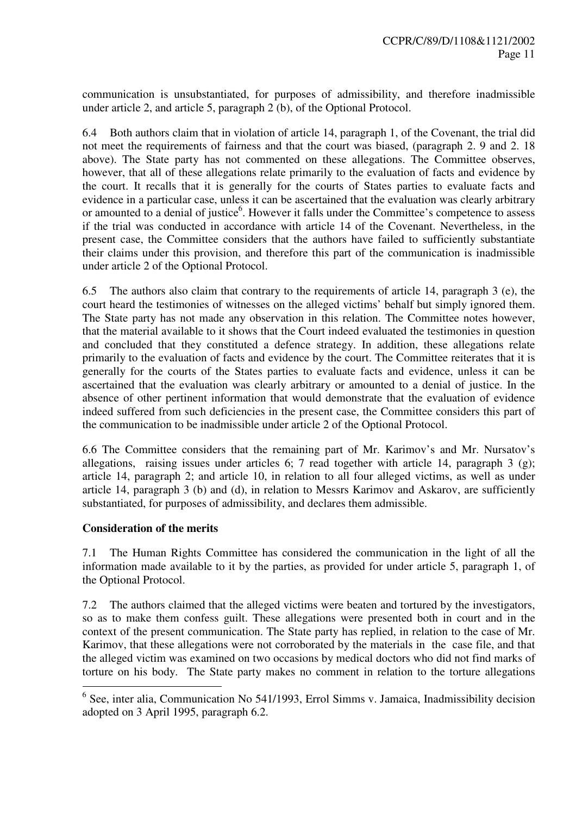communication is unsubstantiated, for purposes of admissibility, and therefore inadmissible under article 2, and article 5, paragraph 2 (b), of the Optional Protocol.

6.4 Both authors claim that in violation of article 14, paragraph 1, of the Covenant, the trial did not meet the requirements of fairness and that the court was biased, (paragraph 2, 9 and 2, 18) above). The State party has not commented on these allegations. The Committee observes, however, that all of these allegations relate primarily to the evaluation of facts and evidence by the court. It recalls that it is generally for the courts of States parties to evaluate facts and evidence in a particular case, unless it can be ascertained that the evaluation was clearly arbitrary or amounted to a denial of justice<sup>6</sup>. However it falls under the Committee's competence to assess if the trial was conducted in accordance with article 14 of the Covenant. Nevertheless, in the present case, the Committee considers that the authors have failed to sufficiently substantiate their claims under this provision, and therefore this part of the communication is inadmissible under article 2 of the Optional Protocol.

6.5 The authors also claim that contrary to the requirements of article 14, paragraph 3 (e), the court heard the testimonies of witnesses on the alleged victims' behalf but simply ignored them. The State party has not made any observation in this relation. The Committee notes however, that the material available to it shows that the Court indeed evaluated the testimonies in question and concluded that they constituted a defence strategy. In addition, these allegations relate primarily to the evaluation of facts and evidence by the court. The Committee reiterates that it is generally for the courts of the States parties to evaluate facts and evidence, unless it can be ascertained that the evaluation was clearly arbitrary or amounted to a denial of justice. In the absence of other pertinent information that would demonstrate that the evaluation of evidence indeed suffered from such deficiencies in the present case, the Committee considers this part of the communication to be inadmissible under article 2 of the Optional Protocol.

6.6 The Committee considers that the remaining part of Mr. Karimov's and Mr. Nursatov's allegations, raising issues under articles 6; 7 read together with article 14, paragraph 3 (g); article 14, paragraph 2; and article 10, in relation to all four alleged victims, as well as under article 14, paragraph 3 (b) and (d), in relation to Messrs Karimov and Askarov, are sufficiently substantiated, for purposes of admissibility, and declares them admissible.

#### **Consideration of the merits**

7.1 The Human Rights Committee has considered the communication in the light of all the information made available to it by the parties, as provided for under article 5, paragraph 1, of the Optional Protocol.

7.2 The authors claimed that the alleged victims were beaten and tortured by the investigators, so as to make them confess guilt. These allegations were presented both in court and in the context of the present communication. The State party has replied, in relation to the case of Mr. Karimov, that these allegations were not corroborated by the materials in the case file, and that the alleged victim was examined on two occasions by medical doctors who did not find marks of torture on his body. The State party makes no comment in relation to the torture allegations

 6 See, inter alia, Communication No 541/1993, Errol Simms v. Jamaica, Inadmissibility decision adopted on 3 April 1995, paragraph 6.2.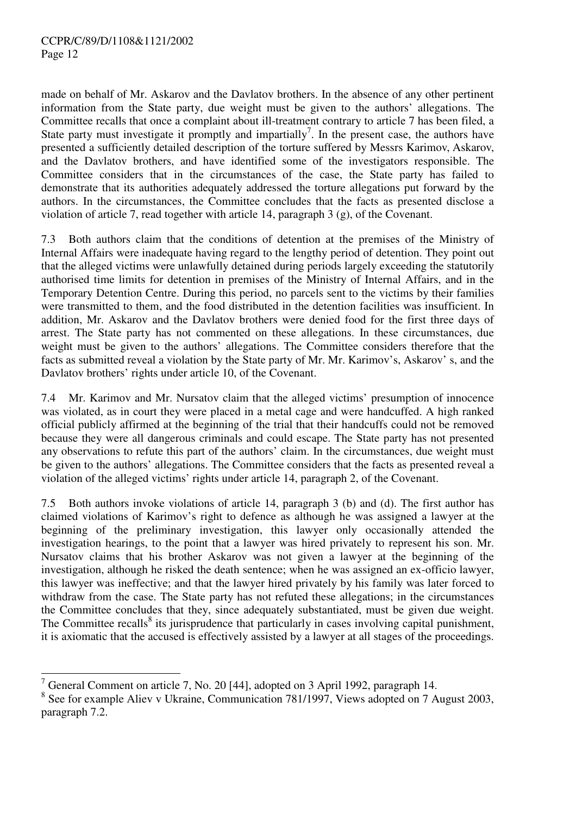made on behalf of Mr. Askarov and the Davlatov brothers. In the absence of any other pertinent information from the State party, due weight must be given to the authors' allegations. The Committee recalls that once a complaint about ill-treatment contrary to article 7 has been filed, a State party must investigate it promptly and impartially<sup>7</sup>. In the present case, the authors have presented a sufficiently detailed description of the torture suffered by Messrs Karimov, Askarov, and the Davlatov brothers, and have identified some of the investigators responsible. The Committee considers that in the circumstances of the case, the State party has failed to demonstrate that its authorities adequately addressed the torture allegations put forward by the authors. In the circumstances, the Committee concludes that the facts as presented disclose a violation of article 7, read together with article 14, paragraph 3 (g), of the Covenant.

7.3 Both authors claim that the conditions of detention at the premises of the Ministry of Internal Affairs were inadequate having regard to the lengthy period of detention. They point out that the alleged victims were unlawfully detained during periods largely exceeding the statutorily authorised time limits for detention in premises of the Ministry of Internal Affairs, and in the Temporary Detention Centre. During this period, no parcels sent to the victims by their families were transmitted to them, and the food distributed in the detention facilities was insufficient. In addition, Mr. Askarov and the Davlatov brothers were denied food for the first three days of arrest. The State party has not commented on these allegations. In these circumstances, due weight must be given to the authors' allegations. The Committee considers therefore that the facts as submitted reveal a violation by the State party of Mr. Mr. Karimov's, Askarov' s, and the Davlatov brothers' rights under article 10, of the Covenant.

7.4 Mr. Karimov and Mr. Nursatov claim that the alleged victims' presumption of innocence was violated, as in court they were placed in a metal cage and were handcuffed. A high ranked official publicly affirmed at the beginning of the trial that their handcuffs could not be removed because they were all dangerous criminals and could escape. The State party has not presented any observations to refute this part of the authors' claim. In the circumstances, due weight must be given to the authors' allegations. The Committee considers that the facts as presented reveal a violation of the alleged victims' rights under article 14, paragraph 2, of the Covenant.

7.5 Both authors invoke violations of article 14, paragraph 3 (b) and (d). The first author has claimed violations of Karimov's right to defence as although he was assigned a lawyer at the beginning of the preliminary investigation, this lawyer only occasionally attended the investigation hearings, to the point that a lawyer was hired privately to represent his son. Mr. Nursatov claims that his brother Askarov was not given a lawyer at the beginning of the investigation, although he risked the death sentence; when he was assigned an ex-officio lawyer, this lawyer was ineffective; and that the lawyer hired privately by his family was later forced to withdraw from the case. The State party has not refuted these allegations; in the circumstances the Committee concludes that they, since adequately substantiated, must be given due weight. The Committee recalls<sup>8</sup> its jurisprudence that particularly in cases involving capital punishment, it is axiomatic that the accused is effectively assisted by a lawyer at all stages of the proceedings.

<sup>&</sup>lt;sup>7</sup> General Comment on article 7, No. 20 [44], adopted on 3 April 1992, paragraph 14.

<sup>&</sup>lt;sup>8</sup> See for example Aliev v Ukraine, Communication 781/1997, Views adopted on 7 August 2003, paragraph 7.2.